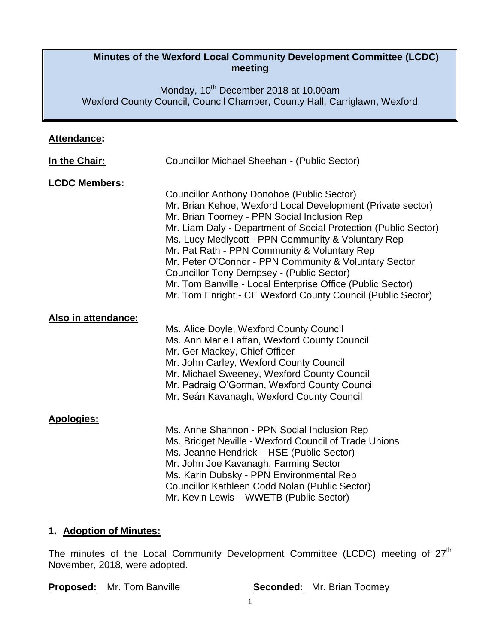### **Minutes of the Wexford Local Community Development Committee (LCDC) meeting**

Monday, 10<sup>th</sup> December 2018 at 10.00am Wexford County Council, Council Chamber, County Hall, Carriglawn, Wexford

|--|

| In the Chair:        | Councillor Michael Sheehan - (Public Sector)                                                                                                                                                                                                                                                                                                                                                                                                                                                                                                                                       |
|----------------------|------------------------------------------------------------------------------------------------------------------------------------------------------------------------------------------------------------------------------------------------------------------------------------------------------------------------------------------------------------------------------------------------------------------------------------------------------------------------------------------------------------------------------------------------------------------------------------|
| <b>LCDC Members:</b> | <b>Councillor Anthony Donohoe (Public Sector)</b><br>Mr. Brian Kehoe, Wexford Local Development (Private sector)<br>Mr. Brian Toomey - PPN Social Inclusion Rep<br>Mr. Liam Daly - Department of Social Protection (Public Sector)<br>Ms. Lucy Medlycott - PPN Community & Voluntary Rep<br>Mr. Pat Rath - PPN Community & Voluntary Rep<br>Mr. Peter O'Connor - PPN Community & Voluntary Sector<br><b>Councillor Tony Dempsey - (Public Sector)</b><br>Mr. Tom Banville - Local Enterprise Office (Public Sector)<br>Mr. Tom Enright - CE Wexford County Council (Public Sector) |
| Also in attendance:  | Ms. Alice Doyle, Wexford County Council<br>Ms. Ann Marie Laffan, Wexford County Council<br>Mr. Ger Mackey, Chief Officer<br>Mr. John Carley, Wexford County Council<br>Mr. Michael Sweeney, Wexford County Council<br>Mr. Padraig O'Gorman, Wexford County Council<br>Mr. Seán Kavanagh, Wexford County Council                                                                                                                                                                                                                                                                    |
| <b>Apologies:</b>    | Ms. Anne Shannon - PPN Social Inclusion Rep<br>Ms. Bridget Neville - Wexford Council of Trade Unions<br>Ms. Jeanne Hendrick - HSE (Public Sector)<br>Mr. John Joe Kavanagh, Farming Sector<br>Ms. Karin Dubsky - PPN Environmental Rep<br>Councillor Kathleen Codd Nolan (Public Sector)<br>Mr. Kevin Lewis - WWETB (Public Sector)                                                                                                                                                                                                                                                |

#### **1. Adoption of Minutes:**

The minutes of the Local Community Development Committee (LCDC) meeting of  $27<sup>th</sup>$ November, 2018, were adopted.

**Proposed:** Mr. Tom Banville **Seconded:** Mr. Brian Toomey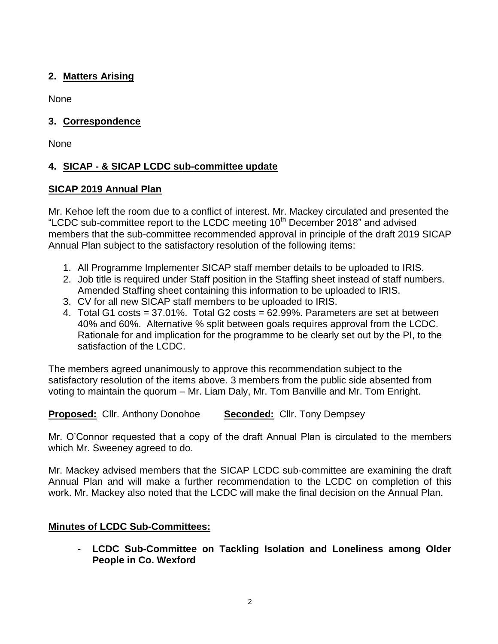# **2. Matters Arising**

None

## **3. Correspondence**

None

# **4. SICAP - & SICAP LCDC sub-committee update**

## **SICAP 2019 Annual Plan**

Mr. Kehoe left the room due to a conflict of interest. Mr. Mackey circulated and presented the "LCDC sub-committee report to the LCDC meeting  $10<sup>th</sup>$  December 2018" and advised members that the sub-committee recommended approval in principle of the draft 2019 SICAP Annual Plan subject to the satisfactory resolution of the following items:

- 1. All Programme Implementer SICAP staff member details to be uploaded to IRIS.
- 2. Job title is required under Staff position in the Staffing sheet instead of staff numbers. Amended Staffing sheet containing this information to be uploaded to IRIS.
- 3. CV for all new SICAP staff members to be uploaded to IRIS.
- 4. Total G1 costs =  $37.01\%$ . Total G2 costs =  $62.99\%$ . Parameters are set at between 40% and 60%. Alternative % split between goals requires approval from the LCDC. Rationale for and implication for the programme to be clearly set out by the PI, to the satisfaction of the LCDC.

The members agreed unanimously to approve this recommendation subject to the satisfactory resolution of the items above. 3 members from the public side absented from voting to maintain the quorum – Mr. Liam Daly, Mr. Tom Banville and Mr. Tom Enright.

**Proposed:** Cllr. Anthony Donohoe **Seconded:** Cllr. Tony Dempsey

Mr. O'Connor requested that a copy of the draft Annual Plan is circulated to the members which Mr. Sweeney agreed to do.

Mr. Mackey advised members that the SICAP LCDC sub-committee are examining the draft Annual Plan and will make a further recommendation to the LCDC on completion of this work. Mr. Mackey also noted that the LCDC will make the final decision on the Annual Plan.

# **Minutes of LCDC Sub-Committees:**

- **LCDC Sub-Committee on Tackling Isolation and Loneliness among Older People in Co. Wexford**